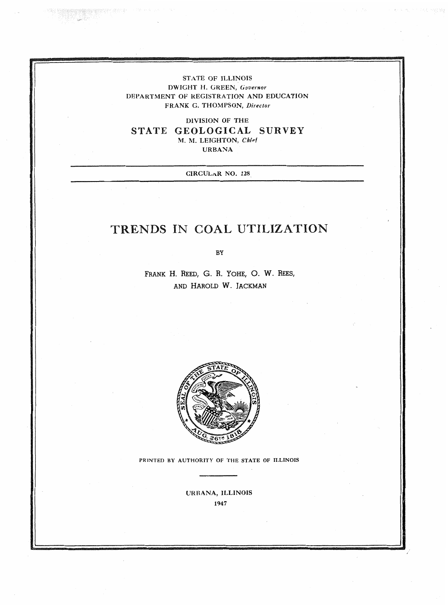### **STATE OF ILLINOIS DWIGHT H. GREEN,** Governor **DEPARTMENT OF REGISTRATION AND EDUCATION**  FRANK G. THOMPSON, Director

### **DlVISION OF THE**  STATE GEOLOGICAL SURVEY **M. h.1. LEIGHTON,** *Chiof*  **URBAXA**

**CIRCULAR NO. 128** 

# TRENDS IN COAL UTILIZATION

BY

FRANK H. REED, G. R. YOHE, O. W. REES, **AND HAROLD** W. **JACKMAN** 



**PRINTED BY AUTHORITY OF THE STATE OF ILLINOIS** 

**UKRANA, ILLINOIS 1947**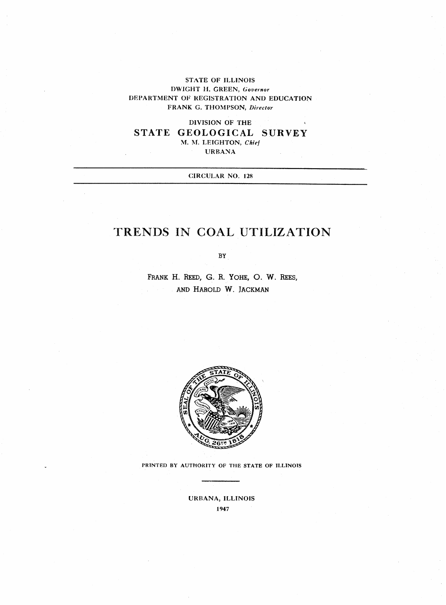### **STATE OF ILLINOIS DWIGHT H. GREEN, Governor** DEPARTMENT OF REGISTRATION AND EDUCATION **FRANK** *G.* **THOMPSON,** *Director-*

**L)lVISION OF THE \* STATE GEOLOGICAL SURVEY** *)I.* **31. LETGHTON, Chief URRANA** 

*CIRCULAR NO. 128* 

## TRENDS IN COAL UTILIZATION

BY

**FRANK H. REED,** *G.* **R. YOHE,** 0. **W. REES, AND HAROLD** W. **JACKMAN** 



**PRINTED BY AUTHORITY OF THE STATE OF ILLINOIS** 

**UKRANA, ILLINOIS 1947**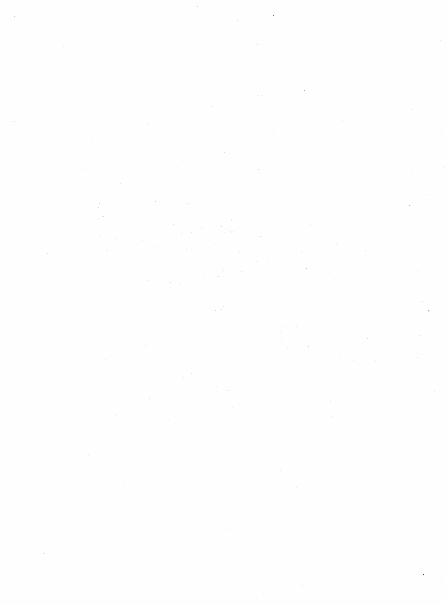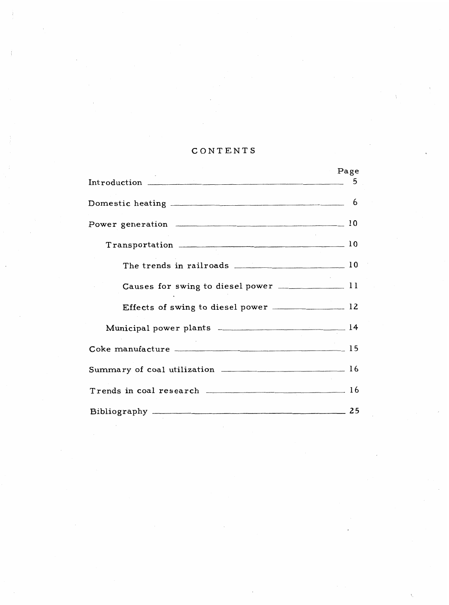## CONTENTS

|                                                       | Page |
|-------------------------------------------------------|------|
| Introduction 15                                       |      |
|                                                       |      |
|                                                       |      |
| Transportation 10                                     |      |
|                                                       |      |
| Causes for swing to diesel power ________________ 11  |      |
| Effects of swing to diesel power _________________ 12 |      |
|                                                       |      |
|                                                       |      |
|                                                       |      |
|                                                       |      |
| Bibliography 25                                       |      |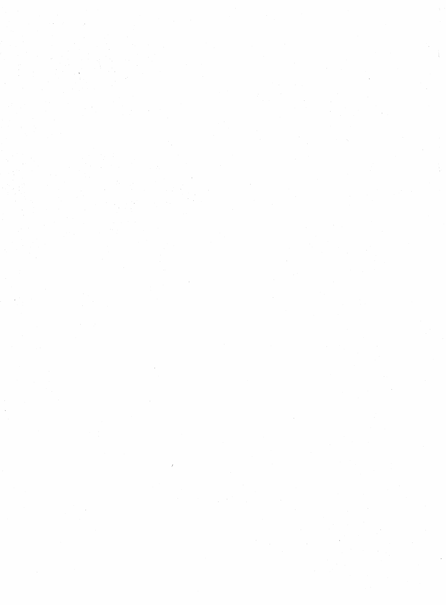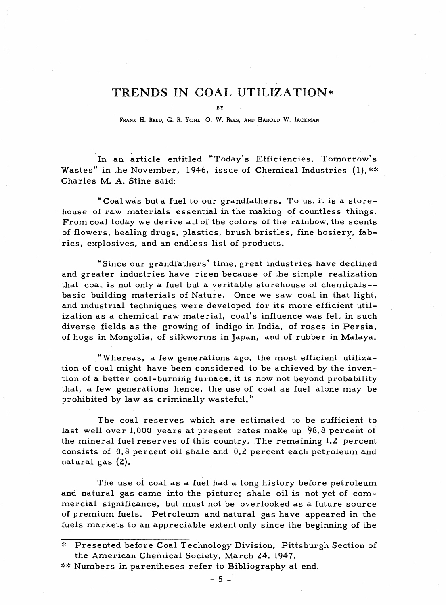### TRENDS IN COAL UTILIZATION\*

FRANK H. REED, G. R. YOHE, O. W. REES, AND HAROLD W. JACKMAN

In an article entitled "Today's Efficiencies, Tomorrow's Wastes" in the November, 1946, issue of Chemical Industries (I),\*\* Charles M. **A.** Stine said:

"Coal was but a fuel to our grandfathers. To us, it is a storehouse of raw materials essential in the making of countless things. From coal today we derive all of the colors of the rainbow, the scents of flowers, healing drugs, plastics, brush bristles, fine hosiery, fabrics, explosives, and an endless list of products.

"Since our grandfathers' time, great industries have declined and greater industries have risen because of the simple realization that coal is not only a fuel but a veritable storehouse of chemicals- basic building materials of Nature. Once we saw coal in that light, and industrial techniques were developed for its more efficient utilization as a chemical raw material, coal's influence was felt in such diverse fields as the growing of indigo in India, of roses in Persia, of hogs in Mongolia, of silkworms in Japan, and of rubber in Malaya.

"Whereas, a few generations ago, the most efficient utilization of coal might have been considered to be achieved by the invention of a better coal-burning furnace, it is now not beyond probability that, a few generations hence, the use of coal as fuel alone may be prohibited by law as criminally wasteful."

The coal reserves which are estimated to be sufficient to last well over 1,000 years at present rates make up 98.8 percent of the mineral fuel reserves of this country. The remaining 1.2 percent consists of 0.8 percent oil shale and 0.2 percent each petroleum and natural gas (2).

The use of coal as a fuel had a long history before petroleum and natural gas came into the picture; shale oil is not yet of commercial significance, but must not be overlooked as a future source of premium fuels. Petroleum and natural gas have appeared in the fuels markets to an appreciable extent only since the beginning of the

:: Presented before Coal Technology Division, Pittsburgh Section of the American Chemical Society, March 24, 1947.

\*\* Numbers in parentheses refer to Bibliography at end.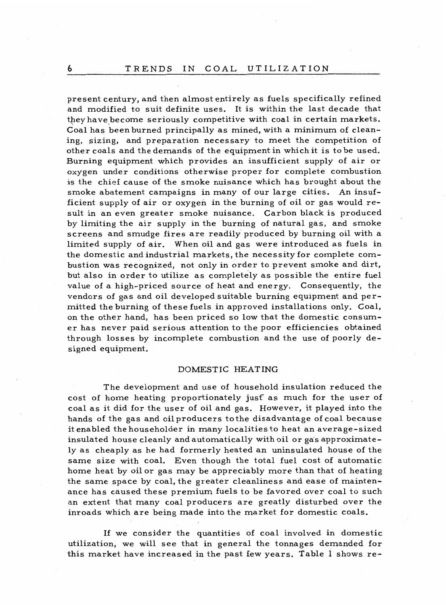present century, and then almost entirely as fuels specifically refined and modified to suit definite uses. It is within the last decade that they have become seriously competitive with coal in certain markets. Coal has been burned principally as mined, with a minimum of cleaning, sizing, and preparation necessary to meet the competition of other coals and the demands of the equipment in which it is to be used. Burning equipment which provides an insufficient supply of air or oxygen under conditions otherwise proper for complete combustion is the chief cause of the smoke nuisance which has brought about the smoke abatement campaigns in many of our large cities. An insufficient supply of air or oxygen in the burning of oil or gas would result in an even greater smoke nuisance. Carbon black is produced by limiting the air supply in the burning of natural gas, and smoke screens and smudge fires are readily produced by burning oil with a limited supply of air. When oil and gas were introduced as fuels in the domestic and industrial markets, the necessity for complete combustion was recognized, not only in order to prevent smoke and dirt, but also in order to utilize as completely as possible the entire fuel value of a high-priced source of heat and energy. Consequently, the vendors of gas and oil developed suitable burning equipment and permitted the burning of these fuels in approved installations only. Coal, on the other hand, has been priced so low that the domestic consumer has never paid serious attention to the poor efficiencies obtained through losses by incomplete combustion and the use of poorly designed equipment.

### DOMESTIC HEAT ING

The development and use of household insulation reduced the cost of home heating proportionately jusf as much for the user of coal as it did for the user of oil and gas. However, it played into the hands of the gas and oil producers to the disadvantage of coal because it enabled the householder in many localities to heat an average-sized insulated house cleanly and automatically with oil or gas approximate ly as cheaply as he had formerly heated an uninsulated house of the same size with coal. Even though the total fuel cost of automatic home heat by oilor gas may be appreciably more than that of heating the same space by coal, the greater cleanliness and ease of maintenance has caused these premium fuels to be favored over coal to such an extent that many coal producers are greatly disturbed over the inroads which are being made into the market for domestic coals.

If we consider the quantities of coal involved in domestic utilization, we will see that in general the tonnages demanded for this market have increased in the past few years. Table 1 shows re-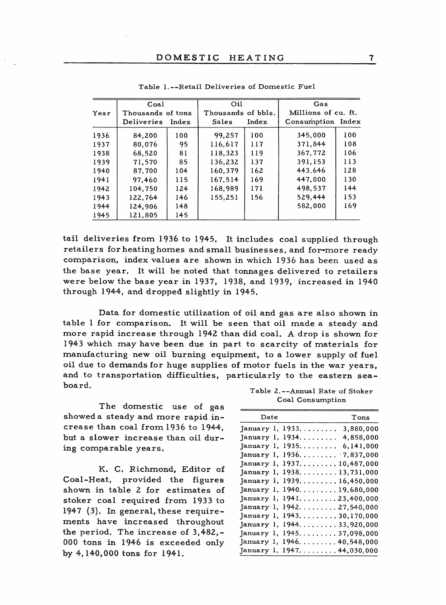|      | Coal              |       | Oil                |       | Gas                 |     |
|------|-------------------|-------|--------------------|-------|---------------------|-----|
| Year | Thousands of tons |       | Thousands of bbls. |       | Millions of cu. ft. |     |
|      | Deliveries        | Index | Sales              | Index | Consumption Index   |     |
| 1936 | 84.200            | 100   | 99,257             | 100   | 345,000             | 100 |
| 1937 | 80,076            | 95    | 116,617            | 117   | 371,844             | 108 |
| 1938 | 68.520            | 81    | 118,323            | 119   | 367,772             | 106 |
| 1939 | 71,570            | 85    | 136.232            | 137   | 391,153             | 113 |
| 1940 | 87,700            | 104   | 160,379            | 162   | 443,646             | 128 |
| 1941 | 97.460            | 115   | 167,514            | 169   | 447,000             | 130 |
| 1942 | 104.750           | 124   | 168,989            | 171   | 498.537             | 144 |
| 1943 | 122,764           | 146   | 155.251            | 156   | 529,444             | 153 |
| 1944 | 124,906           | 148   |                    |       | 582,000             | 169 |
| 1945 | 121,805           | 145   |                    |       |                     |     |

Table **1.** --Retail Deliveries of Domestic Fuel

tail deliveries from 1936 to 1945. It includes coal supplied through retailers for heating homes and small businesses, and for-more ready comparison, index values are shown in which 1936 has the base year. It will be noted that tonnages delivered to retailers were below the base year in 1937, 1938, and 1939, increased in 1940 through 1944, and dropped slightly in 1945.

Data for domestic utilization of oil and gas are also shown in table **1** for comparison. **It** will be seen that oil made a steady and more rapid increase through 1942 than did coal. A drop is shown for 3 which may **have** been due in part to scarcity of materials for manufacturing new oil burning equipment, to a lower supply of fuel oil due to demands for huge supplies of motor fuels the war years, and to transportation difficulties, particularly to the eastern seaboard. Table 2.--Annual Rate of Stoker

The domestic use of gas showed a steady and more rapid increase than coal from 1936 to 1944. **but a** slower increase than oil **g** comparable **years.** 

K. C. Richmond, Editor of Coal-Heat, provided the figures shown in table 2 for estimates of stoker coal required from 1933 to 1947  $(3)$ . In general, these requirements have increased throughout the period. The increase of  $3,482,-$ 000 tons in 1946 is exceeded only by 4,140,000 tons for 1941.

Coal Consumption

| Date                | Tons                     |
|---------------------|--------------------------|
| 1933.<br>January 1, | 3,880,000                |
| January 1,<br>1934. | 4.858.000                |
| January 1,<br>1935. | 6,141,000                |
| January 1,<br>1936. | $\cdot 7.837.000$        |
| January 1,<br>1937. | 10,487,000               |
| January 1,          | 1938. 13,731,000         |
| January 1,          | $1939 \ldots 16,450,000$ |
| January 1,          | 1940. 19,680,000         |
| January 1,          | 194123,400,000           |
| January 1,          | 194227,540,000           |
| January 1,          | 1943. 30,170,000         |
| January 1,          | 194433,920,000           |
| January 1,          | 1945. 37,098,000         |
| January 1,          | 1946. 40,548,000         |
| January 1,          | 1947. 44,030,000         |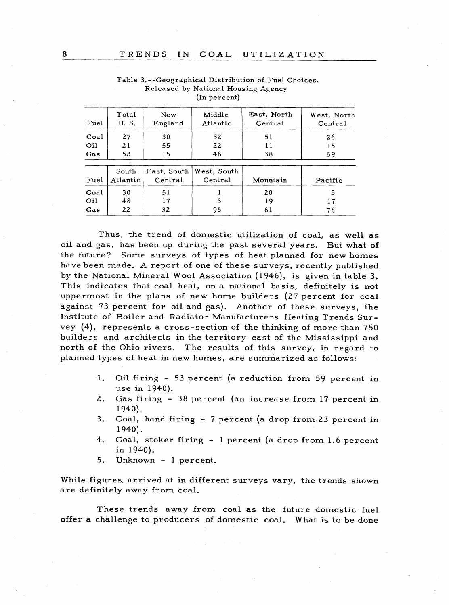| Fuel       | Total<br>U.S. | New<br>England           | Middle<br>Atlantic      | East, North<br>Central | West, North<br>Central |
|------------|---------------|--------------------------|-------------------------|------------------------|------------------------|
| Coal       | 27            | 30                       | 32                      | 51                     | 26                     |
| Oil<br>Gas | 21<br>52      | 55<br>15                 | 22<br>46                | $\overline{11}$<br>38  | 15<br>59               |
|            | South         |                          |                         |                        |                        |
| Fuel       | Atlantic      | East, South  <br>Central | West, South <br>Central | Mountain               | Pacific                |
| Coal       | 30            | 51                       |                         | 20                     | 5                      |
| Oil        | 48            | 17                       |                         | 19                     | 17                     |
| Gas        | 22            | 32                       | 96                      | 61                     | .78                    |

### Table **3.** --Geographical Distribution of Fuel Choices, Released by National Housing Agency (In percent)

Thus, the trend of domestic utilization of coal, **as** well **as**  oil and gas, has been up during the **past** several years. the future? Some surveys of types of heat planned for new homes have been made. A report of one of these surveys, recently published by the National Mineral Wool Association (1946), is given in table **3.**  This indicates that coal heat, on a national basis, definitely is not uppermost in the plans of new home builders (27 percent for coal against **73** percent for oil and gas). Another of these surveys, the Institute of Boiler and Radiator Manufacturers Heating Trends Sur vey (4), represents **a** cross-section of **the** thinking of more than 750 builders and architects in the territory east of the Mississippi and north of the Ohio rivers. The results of this survey, in regard planned types of heat in new homes, are summarized as follows:

- 1. Oil firing 53 percent (a reduction from 59 percent in use in 1940).
- *2.* Gas firing **38** percent (an increase from **17** percent 1940).
- 3. Coal, hand firing 7 percent (a drop from 23 percent in 194O).
- 4. Coal, stoker firing 1 **percent (a** drop from 1.6 percent in 1940).
- *5.* Unknown 1 percent.

While figures. arrived at in different surveys vary, the trends shown are definitely **away** from coal.

These trends away from coal as the future domestic fuel offer a challenge to producers of domestic coal. What is to be done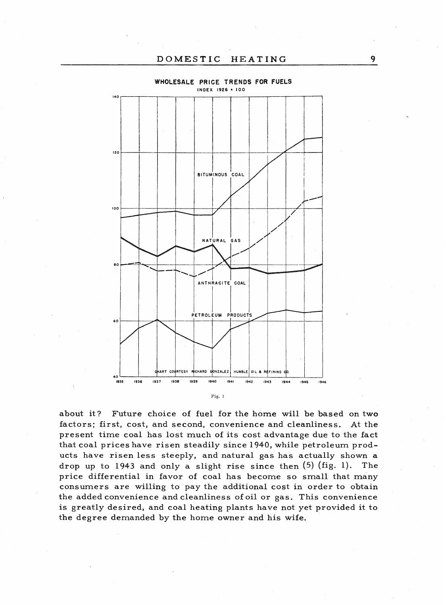

# **WHOLESALE PRICE TRENDS FOR**<br>
INDEX 1926 **.** 100

about it? Future choice of fuel for the **home** will **e** based on two factors; first, cost, and second, convenience and cleanliness. At **the**  present time coal has lost much of its cost advantage due to the fact that coal prices have risen steadily since 1940, while petroleum products have risen less steeply, and natural gas has actually shown a drop up to 1943 and only a slight rise since then  $(5)$  (fig. 1). The price differential in favor of coal has become so small that many consumers are willing to pay the additional cost in order to obtain the added convenience and cleanliness of oil or gas. This convenience is greatly desired, and coal heating plants have not yet provided it to **the** degree demanded by the home owner and his wife.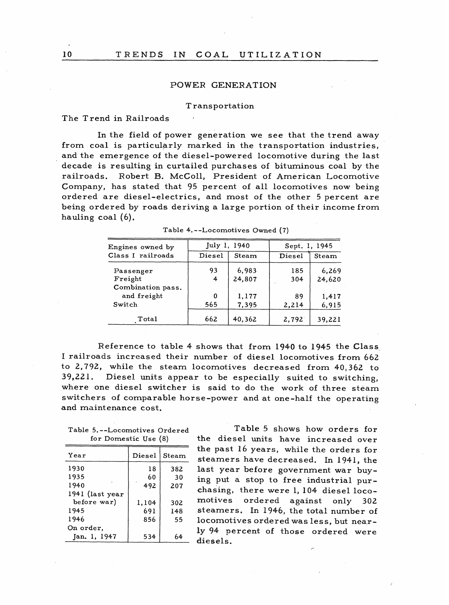### POWER GENERATION

#### Transportation

The Trend in Railroads

In the field of power generation we see that the trend away from coal is particularly marked in the transportation industries, and the emergence of the diesel-powered locomotive during the last decade is resulting in curtailed purchases of bituminous coal by the railroads. Robert B. McColl, President of American Locomotive Company, has stated that 95 percent of all locomotives now being ordered are diesel-electrics, and most of the other 5 percent are being ordered by roads deriving a large portion of their income from hauling coal (6).

| Engines owned by  |        | July 1, 1940 | Sept. 1, 1945 |        |
|-------------------|--------|--------------|---------------|--------|
| Class I railroads | Diesel | Steam        | Diesel        | Steam  |
| Passenger         | 93     | 6,983        | 185           | 6,269  |
| Freight           | 4      | 24,807       | 304           | 24,620 |
| Combination pass. |        |              |               |        |
| and freight       | 0      | 1,177        | 89            | 1,417  |
| Switch            | 565    | 7,395        | 2,214         | 6,915  |
| Total             | 662    | 40,362       | 2,792         | 39,221 |

Table 4. --Locomotives Owned (7)

Reference to table 4 shows that from 1940 to 1945 the Class I railroads increased their number of diesel locomotives from 662 to 2,792, while the steam locomotives decreased from 40,362 to 39,221. Diesel units appear to be especially suited to switching, where one diesel switcher is said to do the work of three steam switchers of comparable horse-power and at one-half the operating and maintenance cost,

Table 5. --Locomotives Ordered for Domestic **Use** (8)

| Year            | $\bold{Diesel}$ | Steam |  |  |
|-----------------|-----------------|-------|--|--|
| 1930            | 18              | 382   |  |  |
| 1935            | 60              | 30    |  |  |
| 1940            | 492             | 207   |  |  |
| 1941 (last year |                 |       |  |  |
| before war)     | 1,104           | 302   |  |  |
| 1945            | 691             | 148   |  |  |
| 1946            | 856             | 55    |  |  |
| On order,       |                 |       |  |  |
| Jan. 1, 1947    | 534             | 64    |  |  |

Table 5 shows how orders for **the** diesel units have increased over **the** past **16** years, while the orders for steamers have decreased. **In** 1941, the last year before government war buying put a stop to **free** industrial purchasing, there were l, 104 diesel locomotives ordered against only 302 steamers. In 1946, the total number of ocomotives ordered was less, **but** near-**94** percent of those ordered were diesels.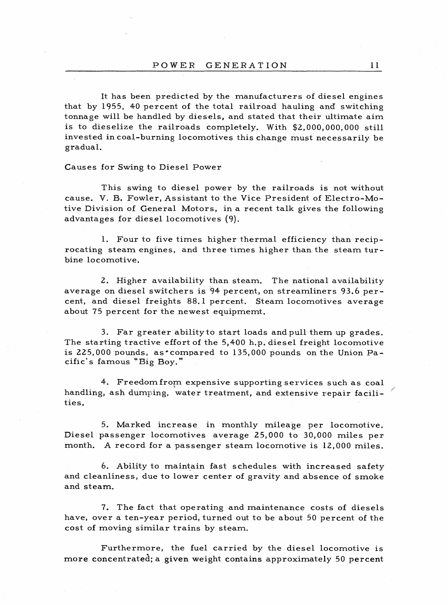It has been predicted by the manufacturers of diesel engines that by 1955, 40 percent of the total railroad hauling and switching tonnage will be handled by diesels, and stated that their ultimate aim is to dieselize the railroads completely. With \$2,000,000,000 still invested in coal-burning locomotives this change must necessarily be gradual.

Causes for Swing to Diesel Power

This swing to diesel power by the railroads is not without cause. V. **B,** Fowler, Assistant to the Vice President of Electro-Motive Division of General Motors, in a recent talk gives the following advantages for diesel locomotives (9).

1. Four to five times higher thermal efficiency than reciprocating steam engines, and three times higher than the steam turbine locomotive.

2. Higher availability than steam. The national availability average on diesel switchers is 94 percent, on streamliners 93.6 percent, and diesel freights 88.1 percent. Steam locomotives average about 75 percent for the newest equipmemt.

**3.** Far greater ability to start loads and pull them up grades. The starting tractive effort of the 5,400 h.p. diesel freight locomotive is  $225,000$  pounds, as compared to  $135,000$  pounds on the Union Pacific's famous "Big Boy."

**4.** Freedom from expensive supporting services such as coal handling, ash dumping, water treatment, and extensive repair facilities,

5. Marked increase in monthly mileage per locomotive. Diesel passenger locomotives average 25,000 to 30,000 miles per month. A record for a passenger steam locomotive is 12,000 miles.

6. Ability to maintain fast schedules with increased safety and cleanliness, due to lower center of gravity and absence of smoke and steam.

**7.** The fact that operating and maintenance costs of diesels have, over a ten-year period, turned out to be about 50 percent of the cost of moving similar trains by steam.

Furthermore, the fuel carried by the diesel locomotive is more concentrated; a **given** weight contains approximately 50 percent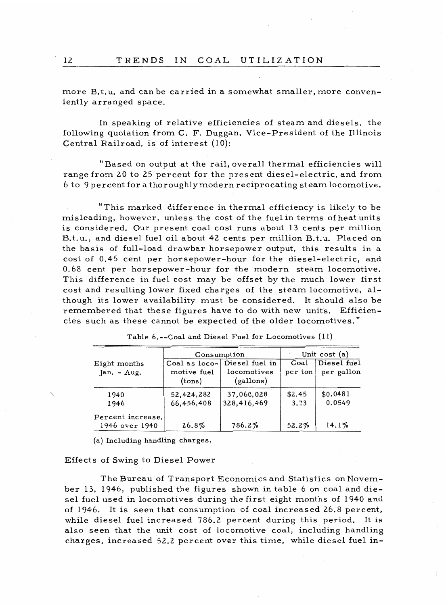more B.t.u. and can be carried in a somewhat smaller, more conveniently arranged space.

In speaking of relative efficiencies of steam and diesels, the following quotation from **C.** F. Duggan, Vice-president of the Illinois Central Railroad, is of interest (10):

"Based on output at the rail, overall thermal efficiencies will range from 20 to 25 percent for the present diesel-electric, and from 6 to 9 percent for a thoroughly modern reciprocating steam locomotive.

"This marked difference in thermal efficiency is likely to be misleading, however, unless the cost of the fuel in terms of heat units is considered. Our present coal cost runs about 13 cents per million B.t.u., and diesel fuel oil about 42 cents per million B.t.u. Placed on the basis of full-load drawbar horsepower output, this results in a cost of 0.45 cent per horsepower-hour for the diesel-electric, and 0.68 cent per horsepower -hour for the modern steam locomotive. This difference in fuel cost may be offset by the much lower first cost and resulting lower fixed charges of the steam locomotive, although its lower availability must be considered. It should also be remembered that these figures have to do with new units. Efficiencies such as these cannot be expected of the older locomotives."

|                                     | Consumption                    |                                                          |                   | Unit cost (a)             |  |  |
|-------------------------------------|--------------------------------|----------------------------------------------------------|-------------------|---------------------------|--|--|
| Eight months<br>Jan. - Aug.         | motive fuel<br>$_{\rm (tons)}$ | Coal as loco- Diesel fuel in<br>locomotives<br>(gallons) | Coal<br>$per$ ton | Diesel fuel<br>per gallon |  |  |
| 1940<br>1946                        | 52,424,282<br>66,456,408       | 37,060,028<br>328,416,469                                | \$2.45<br>3.73    | \$0.0481<br>0.0549        |  |  |
| Percent increase,<br>1946 over 1940 | $26.8\%$                       | $786.2\%$                                                | $52.2\%$          | $14.1\%$                  |  |  |

Table 6.--Coal and Diesel Fuel for Locomotives (11)

(a) Including handling charges.

### Effects of Swing to Diesel Power

The Bureau of Transport Economics and Statistics on November 13, 1946, published the figures shown in table 6 on coal and diesel fuel used in locomotives during the first eight months of 1940 and of 1946. It is seen that consumption of coal increased 26.8 percent, while diesel fuel increased 786.2 percent during this period. It is also seen that the unit cost of locomotive coal, including handling charges, increased 52.2 percent over this time, while diesel fuel **in-**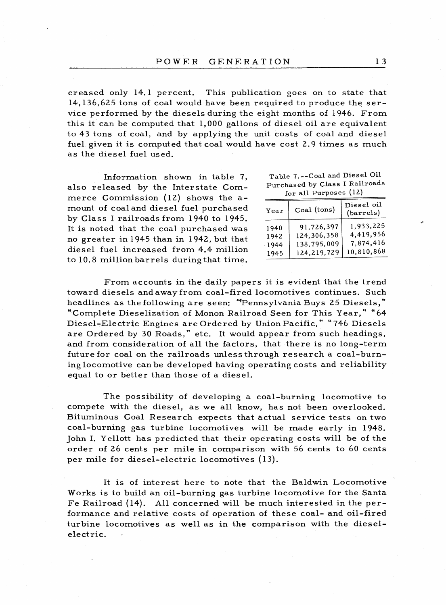creased only 14.1 percent. This publication goes on to state that 14,136,625 tons of coal would have been required to produce the service performed by the diesels during the eight months of 1946. From this it can be computed that 1,000 gallons of diesel oil are equivalent to 43 tons of coal, and by applying the unit costs of coal and diesel fuel given it is computed that coal would have cost 2.9 times as much as the diesel fuel used.

Information shown in table 7, Table 7.--Coal and Diesel Oil<br>leased by the Interstate Come Purchased by Class I Railroads also released by the Interstate Commerce Commission (12) shows the  $a \frac{10r \text{ all }r \text{ un pose}}{1}$ mount of coal and diesel fuel purchased by Class I railroads from 1940 to 1945. to 10.8 million barrels during that time. **<sup>1</sup>** It is noted that the coal purchased was no greater in 1945 than in 1942, but that diesel fuel increased from 4.4 million

for all Purposes  $(12)$ 

| Year                         | Coal (tons)                                             | Diesel oil<br>(barrels)                           |  |  |
|------------------------------|---------------------------------------------------------|---------------------------------------------------|--|--|
| 1940<br>1942<br>1944<br>1945 | 91,726,397<br>124,306,358<br>138,795,009<br>124,219,729 | 1,933,225<br>4,419,956<br>7,874,416<br>10,810,868 |  |  |

From accounts in the daily papers it is evident that the trend toward diesels and away from coal-fired locomotives continues. Such headlines as the following are seen: "Pennsylvania Buys 25 Diesels," "Complete Dieselization of Monon Railroad Seen for This year," "64 Diesel-Electric Engines are Ordered by Union Pacific, " " 746 Diesels are Ordered by 30 Roads," etc. It would appear from such headings, and from consideration of all the factors, that there is no long-term future for coal on the railroads unless through research a coal-burning locomotive can be developed having operating costs and reliability equal to or better than those of a diesel.

The possibility of developing a coal-burning locomotive to compete with the diesel, as we all know, has not been overlooked. Bituminous Coal Research expects that actual service tests on two coal-burning gas turbine locomotives will be made early in 1948. John I. Yellott has predicted that their operating costs will be of the order of 26 cents per mile in comparison with 56 cents to 60 cents per mile for diesel-electric locomotives (13).

It is of interest here to note that the Baldwin Locomotive Works is to build an oil-burning gas turbine locomotive for the Santa Fe Railroad (14). All concerned will be much interested in the performance and relative costs of operation of these coal- and oil-fired turbine locomotives as well as in the comparison with the dieselelectric. .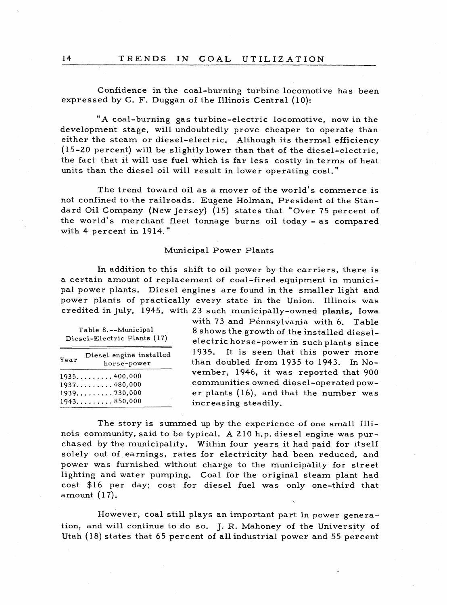Confidence in the coal-burning turbine locomotive has been expressed by C. F. Duggan of the Illinois Central (10):

**"A** coal-burning gas turbine-electric locomotive, now in the development stage, will undoubtedly prove cheaper to operate than either the steam or diesel-electric, Although its thermal efficiency (15-20 percent) will be slightly lower than that of the diesel-electric. the fact that it will use fuel which is **far** less costly in terms of heat units than the diesel oil will result in lower operating cost."

The trend toward oil as a mover of the world's commerce is not confined to the railroads, Eugene Holman, President of the Standard Oil Company (New Jersey) (15) states that "Over 75 percent of the world's merchant fleet tonnage burns oil today - as compared with **4** percent in 1914."

### Municipal Power Plants

In addition to this shift to oil power by the carriers, there is a certain amount of replacement of coal-fired equipment in municipal power plants. Diesel engines are found in the smaller light and power plants **sf** practically every state in the Union. Illinois was credited in July, 1945, with 2 3 such municipally-owned **plants,** Iowa

| Table 8.--Municipal         |
|-----------------------------|
| Diesel-Electric Plants (17) |

| Year | Diesel engine installed |
|------|-------------------------|
|      | horse-power             |
|      | $1935$ 400,000          |
|      | $1937 \ldots$ 480,000   |
|      | $1939 \ldots$ 730,000   |
|      | $1943 \ldots$ . 850,000 |

with 73 and Pennsylvania with 6. Table 8 shows the growth of the installed dieselelectric horse-power in such plants since 1935. It is seen that this power more than doubled from 1935 to 1943. In November, 1946, it was reported that 900 communities owned diesel-operated power plants  $(16)$ , and that the number was increasing steadily.

The story is summed up by the experience of one small Illinois community, said to be typical. **A** 210 h.p. diesel engine was purchased by the municipality. Within four years it had paid for **itself**  solely out of earnings, rates for electricity had been reduced, and power was furnished without charge to the municipality for street lighting and water pumping. Coal for the original steam plant had cost \$16 per day: cost for diesel fuel was only one-third that amount  $(17)$ .

However, coal still plays an important part in power generation, and will continue to do so, J. **R,** Mahoney of the University of Utah (18) states that 65 percent of allindustrial power and 55 percent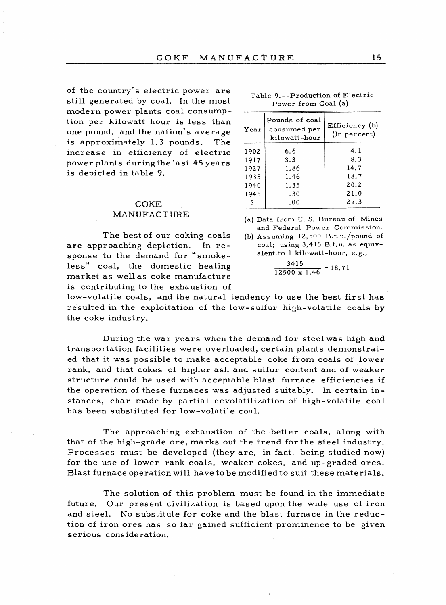of the country's electric power are still generated by coal. In the most modern power plants coal consumption per kilowatt hour is less than one pound, and the nation's average is approximately 1.3 pounds. The increase in efficiency of electric power plants during the last **45** years is depicted in table 9.

### **COKE MANUFACTURE**

The best of our coking coals are approaching depletion. In response to the demand for "smokeless" coal, the domestic heating market as wellas coke manufacture is contributing to the exhaustion of

| Year | Pounds of coal<br>consumed per<br>kilowatt-hour | Efficiency (b)<br>(In percent) |  |  |
|------|-------------------------------------------------|--------------------------------|--|--|
| 1902 | 6.6                                             | 4.1                            |  |  |
| 1917 | 3.3                                             | 8.3                            |  |  |
| 1927 | 1.86                                            | 14.7                           |  |  |
| 1935 | 1.46                                            | 18.7                           |  |  |
| 1940 | 1.35                                            | 20.2                           |  |  |
| 1945 | 1.30                                            | 21.0                           |  |  |
|      | 1.00                                            | 27.3                           |  |  |

| Table 9.--Production of Electric |  |
|----------------------------------|--|
| Power from Coal (a)              |  |

|  |  |  | (a) Data from U.S. Bureau of Mines |
|--|--|--|------------------------------------|
|  |  |  | and Federal Power Commission.      |

(b) Assuming  $12,500$  B.t.u./pound of coal; using 3,415 B.t.u. as equivalent. to 1 kilowatt-hour, *e.* g.,

$$
\frac{3415}{12500 \times 1.46} = 18.71
$$

low-volatile coals, and the natural tendency to use the best **first** ha resulted in the exploitation of the low-sulfur high-volatile coals by the coke industry.

During the war years when the demand for steel was high and transportation facilities were overloaded, certain plants demonstrat ed that it was possible to make acceptable coke from coals of lower rank, and that cokes of higher ash and sulfur content and of weaker structure could be used with acceptable blast furnace efficiencies if the operation of these furnaces was adjusted suitably. In certain instances, char made by partial devolatilization of high-volatile coal has been substituted for low-volatile coal.

The approaching exhaustion of the better coals, along with that of the high-grade ore, marks out the trend for the steel industry, Processes must be developed (they are, in fact, being studied now) for the use of lower rank coals, weaker cokes, and up-graded ores. Blast furnace operation will have to be modified to suit these materials.

The solution of this problem must be found in the immediate future. Our present civilization is based upon the wide use of iron and steel. No substitute for coke and the blast furnace in the reduction of iron ores has so far gained sufficient prominence to be given serious consideration.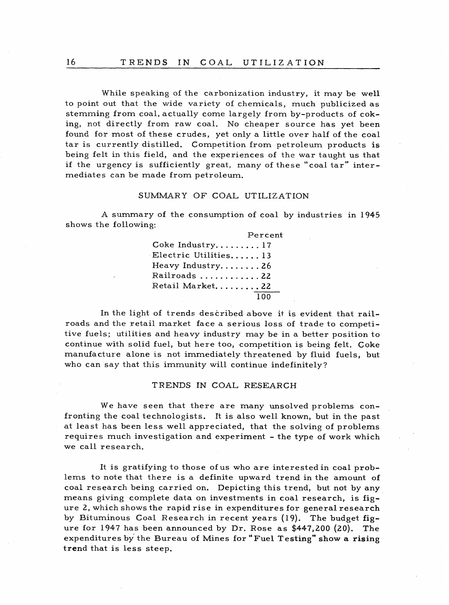While speaking of the carbonization industry, it may be well to point out that the wide variety of chemicals, much publicized as stemming from coal, actually come largely from by-products of coking, not directly from raw coal. No cheaper source has yet been found for most of these crudes, yet only a little over half of the coal tar is currently distilled. Competition from petroleum products is being felt in this field, and the experiences of the war taught us that if the urgency is sufficiently great, many of these "coal tar" intermediates can be made from petroleum.

### SUMMARY OF COAL UTILIZATION

A summary of the consumption of coal by industries in 1945 shows the following:

Percent

| Coke Industry 17      |
|-----------------------|
| Electric Utilities 13 |
| Heavy Industry26      |
| Railroads 22          |
| Retail Market22       |
| 100                   |

In the light of trends described above if is evident that railroads and the retail market face a serious loss of trade to competitive fuels; utilities and heavy industry may be in a better position to continue with solid fuel, but here too, competition is being felt. Coke manufacture alone is not immediately threatened by fluid fuels, but who can say that this immunity will continue indefinitely?

### TRENDS IN COAL **RESEARCH**

We have seen that there are many unsolved problems confronting the coal technologists. It is also well known, but in the **past**  at least has been less well appreciated, that the solving of problems requires much investigation and experiment - the type of work which we call research.

It is gratifying to those of us who are interested in coal problems to note that there is a definite upward trend in the amount of coal research being carried on. Depicting this trend, but not by any means giving complete data on investments in coal research, is figure *2,* which shows the rapid rise in expenditures for general research by Bituminous Coal Research in recent years (19). The budget figure for 1947 has been announced by Dr. Rose as \$447,200 **(20). The**  expenditures by the Bureau of Mines for "Fuel Testing" show a rising trend that is less steep.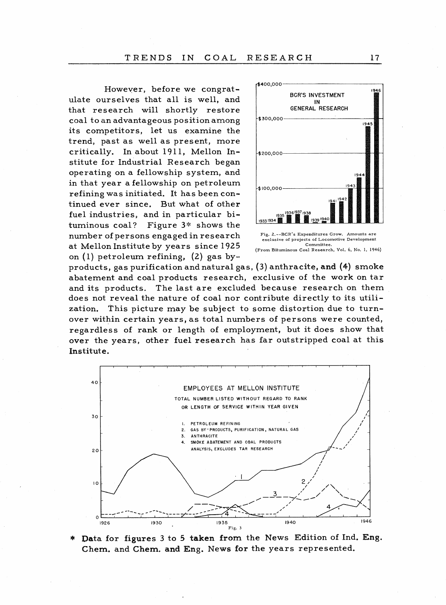However, before we congratulate ourselves that all is well, and that research will shortly restore coal to an advantageous position among its competitors, let us examine the trend, past as well as present, more critically. In about 1911, Mellon Institute for Industrial Research began operating on a fellowship system, and in that year a fellowship on petroleum refining was initiated. It has been continued ever since. But what of other fuel industries, and in particular bituminous coal? Figure 3<sup>\*</sup> shows the number of persons engaged in research at Mellon Institute by years since 1925 on (1) petroleum refining, *(2)* gas by-



products, gas purification and natural gas, **(3)** anthracite, and (4) smoke abatement and coal products research, exclusive of the work on tar and its products. The last are excluded because research on them does not reveal the nature of coal nor contribute directly to its utilization. This picture may be subject to some distortion due to turnover within certain years, as total numbers of persons were counted, regardless of rank or length of employment, but it does show that **over** the years, other fuel research has far outstripped coal at this Institute.



\* Data for figures 3 to 5 taken from the News Edition of Ind. Eng. Chem. and Chem. and Eng. News for the years represented.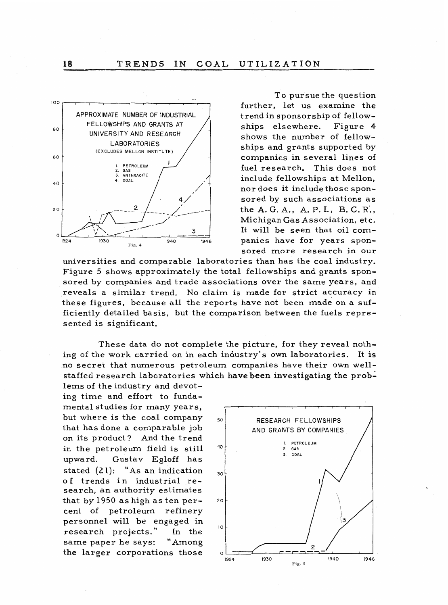

trend in sponsorship of fellowships elsewhere. Figure 4 shows the number of fellowships and grants supported by companies in several lines of fuel research. This does not include fellowships at Mellon, nor does it include those sponsored by such associations **as**  theA.C.A., A.P.I., B.C.R., Michigan Gas Association, etc. It will be seen that oil companies have for years sponsored more research in our

universities and comparable laboratories than has the coal industry. Figure 5 shows approximately the total fellowships and grants sponsored by companies and trade associations over the same years, an reveals a similar trend. No claim is made for strict accuracy in these figures, because all the reports have not been made on a sufficiently detailed basis, but the comparison between the fuels represented is significant.

These data do not complete the picture, for they reveal nothing of the work carried on in each industry's own laboratories. It is no secret that numerous petroleum companies have their own wellstaffed research laboratories which have been investigating the prob-

lems of the industry and devot ing time and effort to fundamental studies for many years, but where is the coal company that has done a comparable job on its product? And the trend in the petroleum field is still upward. Custav Egloff has stated (2 1): "As an indication of trends in industrial research, an authority estimates that by 1950 as high as ten percent of petroleum refinery personnel will be engaged in research projects." In the same paper he says: "Among **the** larger corporations those

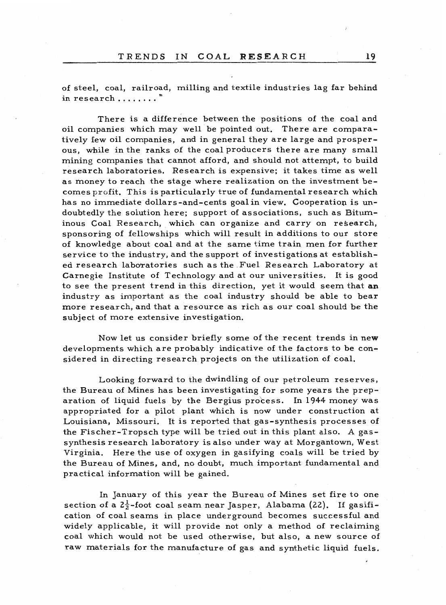of steel, coal, railroad, milling and textile industries lag far behind in research ........"

There is a difference between the positions of the coal and oil companies which may well be pointed out. There are comparatively few oil companies, and in general they are large and prosperous, while in the ranks of the coal producers there are many small mining companies that cannot afford, and should not attempt, to build research laboratories. Research is expensive; it takes time as well as money to reach the stage where realization on the investment becomes profit. This is particularly true of fundamental research which has no immediate dollars -and-cents goal in view. Cooperation is undoubtedly the solution here; support of associations, such as Bituminous Coal Research, which can organize and carry on research, sponsoring of fellowships which will result in additions to our store of knowledge about coal and at the same time train men for further service to the industry, and the support of investigations at establis ed research laboratories such as the Fuel Research Laboratory at Carnegie Institute of Technology and at our universities. It is good to see the present trend in this direction, yet it would seem that an industry as important as the coal industry should **e** able to bear more research, and that a resource as rich as our coal should be the subject of more extensive investigation.

Now let us consider briefly some of the recent trends in **ne**  developments which are probably indicative of the factors to be considered in directing research projects on the utilization of coal.

Looking forward to the dwindling of our petroleum reserves, the Bureau of Mines has been investigating for some years the preparation of liquid fuels by the Bergius process. In 1944 money was appropriated for a pilot plant which is now under construction at Louisiana, Missouri. It is reported that gas-synthesis processes of the Fischer-Tropsch type will be tried out in this plant also. A gassynthesis research laboratory is also under way at Morgantown, West Virginia. Here the use of oxygen in gasifying coals will be tried by the Bureau of Mines, and, no doubt, much important fundamental and practical information will be gained.

In January of this year the Bureau of Mines set fire to one section of a  $2\frac{1}{2}$ -foot coal seam near Jasper, Alabama (22). If gasification of coal seams in place underground becomes successful and widely applicable, it will provide not only a method of reclaiming coal which would not be used otherwise, but also, a new source of raw materials for the manufacture of gas and synthetic liquid fuels.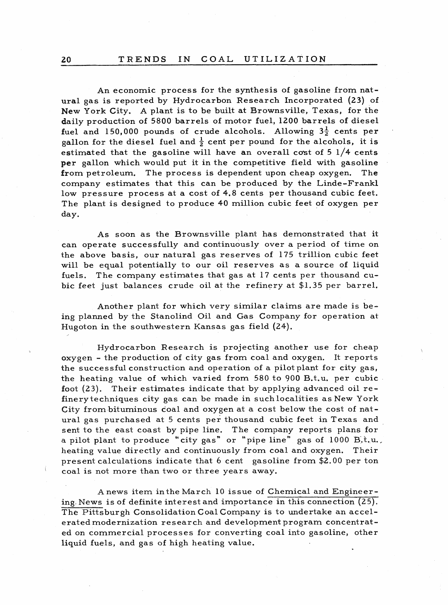An economic process for the synthesis of gasoline from natural gas is reported by Hydrocarbon Research Incorporated **(23)** of New York City. A plant is to be built at Brownsville, Texas, for the aily production of 5800 barrels of motor fuel, 1200 barrels of diesel fuel and 150,000 pounds of crude alcohols. Allowing  $3\frac{1}{2}$  cents per gallon for the diesel fuel and  $\frac{1}{2}$  cent per pound for the alcohols, it is estimated that the gasoline will have an overall cost of  $5/4$  cents **er** gallon which would put it in the competitive field with gasoline from petroleum. The process is dependent upon cheap oxygen. The company estimates that this can be produced by the Linde-Frank1 low pressure process at a cost of 4.8 cents per thousand cubic feet. The plant is designed to produce 40 million cubic feet of oxygen per day.

As soon as the Brownsville plant has demonstrated that it can operate successfully and continuously over a period of time on the above basis, our natural gas reserves of 175 trillion cubic feet will be equal potentially to our oil reserves as a source of liquid fuels. The company estimates that gas at 17 cents per thousand cubic feet just balances crude oil at the refinery at \$1.35 per barrel.

Another plant for which very similar claims are made is being planned by the Stanolind Oil and Gas Company for operation at Hugoton in the southwestern Kansas gas field (24).

Hydrocarbon Research is projecting another use for cheap oxygen - the production of city gas from coal and oxygen. It reports the successful construction and operation of a pilot plant for city gas, the heating value of which varied from 580 to 900 B.t.u. per cubic. foot (23). Their estimates indicate that by applying advanced oil reinerytechniques city gas can be made in suchlocalities as New 'fork City from bituminous coal and oxygen at a cost below the cost of natural gas purchased at 5 cents per thousand cubic feet in Texas and sent to the east coast by pipe line. The company reports plans for a pilot plant to produce "city gas" or "pipe line" gas of 1000 B.t.u. heating value directly and continuously from coal and oxygen. Their present calculations indicate that 6 cent gasoline from \$2.00 per ton coal is not more than two or three years away.

A news item in the March 10 issue of Chemical and Engineering. News is of definite interest and importance in this connection (25). The Pittsburgh Consolidation Goal Company is to undertake an accelerated modernization research and development program concentrated on commercial processes for converting coal into gasoline, other liquid fuels, and gas of high heating value.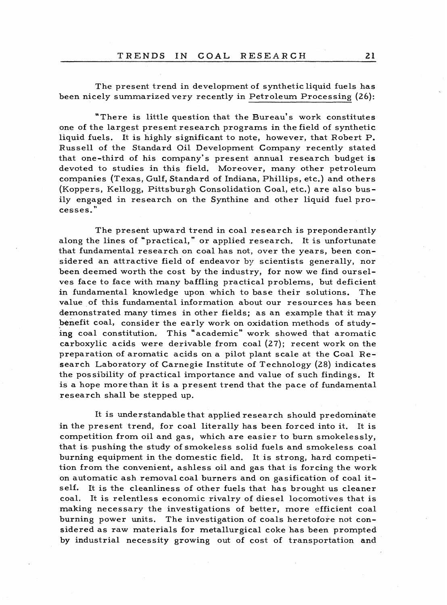The present trend in development of synthetic liquid fuels has been nicely summarized very recently in Petroleum Processing (26):

"There is little question that the Bureau's work constitutes one of the largest present research programs in the field of synthetic liquid fuels. It is highly significant to note, however, that Robert P. Russell of the Standard Oil Development Company recently stated that one-third of his company's present annual research budget is devoted to studies in this field. Moreover, many other petroleum companies (Texas, Gulf, Standard of Indiana, Phillips, etc.) and others (Koppers, Kellogg, Pittsburgh Consolidation Coal, etc.) are also busily engaged in research on the Synthine and other liquid fuel processes."

The present upward trend in coal research is preponderantly along the lines of "practical," or applied research. It is unfortunate that fundamental research on coal has not, over the years, been considered an attractive field of endeavor by scientists generally, nor been deemed worth the cost by the industry, for now we find ourselves face to face with many baffling practical problems, but deficient in fundamental knowledge upon which to base their solutions. The value of this fundamental information about our resources has been demonstrated many times in other fields; as an example that it may benefit coal, consider the early work on oxidation methods of study**ing** coal constitution. This "academic" work showed that aromatic carboxylic acids were derivable from coal (27); recent work on the preparation of aromatic acids on a pilot plant scale at the Coal Research Laboratory of Carnegie Institute of Technology (28) indicates the possibility of practical importance and value of such findings. It is a hope morethan it is a present trend that the pace of fundamental research shall be stepped up.

It is understandable that applied research should predominate in the present trend, for coal literally has been forced into it. It is competition from oil and gas, which are easier to burn smokelessly, that is pushing the study of smokeless solid fuels and smokeless coal burning equipment in the domestic field. It is strong, hard competition from the convenient, ashless oil and gas that is forcing the work on automatic ash removal coal burners and on gasification of coal itself. It is the cleanliness of other fuels that has brought us cleaner coal. It is relentless economic rivalry of diesel locomotives that is making necessary the investigations of better, more efficient coal burning power units, **The** investigation of coals heretofore not considered as raw materials for metallurgical coke has been prompted by industrial necessity growing out of cost of transportation a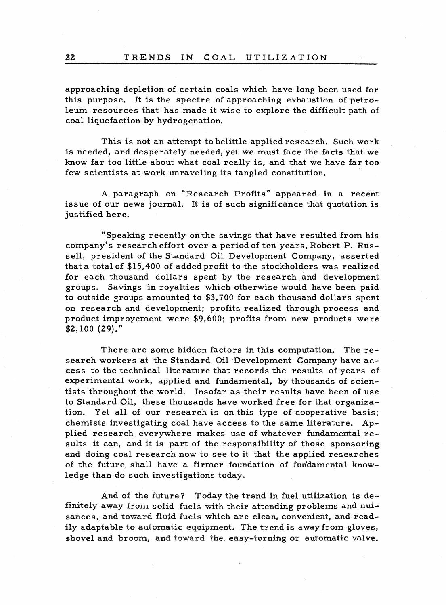approaching depletion of certain coals which have long been used for this purpose. It is the spectre of approaching exhaustion of petroleum resources that has made it wise to explore the difficult path of coal liquefaction by hydrogenation.

This is not an attempt **to** belittle applied research. Such work is needed, and desperately needed, yet we must face the facts that we know far too little about what coal really is, and that we have far too few scientists at work unraveling its tangled constitution.

**A** paragraph on "Research Profits" appeared in a recent issue of our news journal. It is of such significance that quotation is justified here.

"Speaking recently onthe savings that have resulted from his company's research effort over a period of ten years, Robert P. Russell, president of the Standard Oil Development Company, asserted that a total of \$15,400 of added profit to the stockholders was realize for each thousand dollars spent by the research and development groups. Savings in royalties which otherwise would have been paid to outside groups amounted to  $$3,700$  for each thousand dollars spent on research and development; profits realized through process and product improyement were \$9,600; profits from new products were 2,100 **(29)."** 

There are some hidden factors in this computation. The research workers at the Standard Oil 'Development Company have access to the technical literature that records the results of years o experimental work, applied and fundamental, by thousands of scientists throughout **the** world. **Insofar** as their results have been o to Standard Oil, these thousands have worked free for that organization. Yet all of our research is on this type of cooperative basis; chemists investigating **coal** have acces plied research everywhere makes use of whatever fundamental results it can, and it is part of the responsibility of those sponsoring and doing coal research now to see to it that the applied researches of the future shall have a firmer foundation of fundamental knowledge than do such investigations today.

And of the future? Today the trend in fuel utilization is definitely away from solid fuels with their attending problems and nuisances, and toward fluid fuels which are clean, convenient, and readily adaptable to automatic equipment. The trend is away from gloves, shovel and broom, and toward the easy-turning or automatic valve.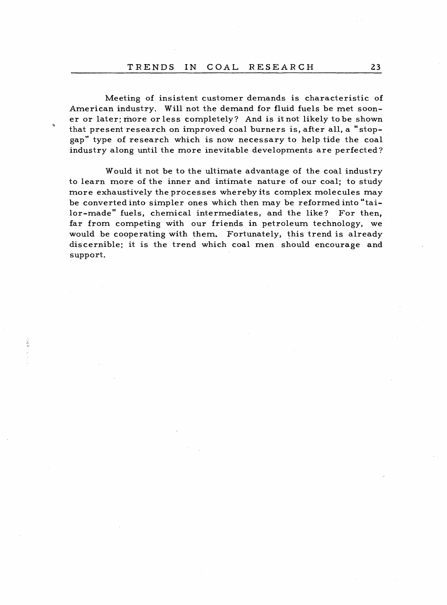Meeting of insistent customer demands is characteristic of American industry. Will not the demand for fluid fuels be met soon-<br>er or later: more or less completely? And is it not likely to be shown that present research on improved coal burners is, after all, a "stopgap" type of research which is now necessary to help tide the coal industry along until the more inevitable developments are perfected?

Would it not be to the ultimate advantage of the coal industry to learn more of the inner and intimate nature of our coal; to study more exhaustively the processes whereby its complex molecules may be converted into simpler ones which then may be reformed into "tailor-made" fuels, chemical intermediates, and the like? For then, far from competing with our friends in petroleum technology, we would be cooperating with them. Fortunately, this trend is already discernible; it is the trend which coal men should encourage and support.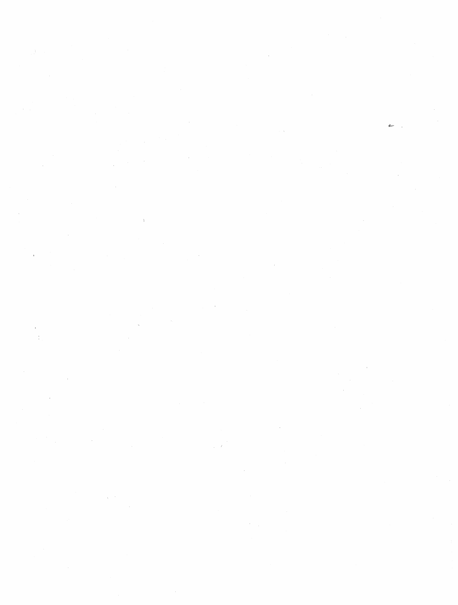$\theta$  and  $\theta$  $\label{eq:2.1} \frac{1}{\left\| \left( \frac{1}{\sqrt{2}} \right)^2 \right\|} \leq \frac{1}{\sqrt{2}} \sum_{i=1}^{\infty} \frac{1}{\sqrt{2}} \sum_{i=1}^{\infty} \frac{1}{\sqrt{2}} \sum_{i=1}^{\infty} \frac{1}{\sqrt{2}} \sum_{i=1}^{\infty} \frac{1}{\sqrt{2}} \sum_{i=1}^{\infty} \frac{1}{\sqrt{2}} \sum_{i=1}^{\infty} \frac{1}{\sqrt{2}} \sum_{i=1}^{\infty} \frac{1}{\sqrt{2}} \sum_{i=1}^{\infty} \$  $\label{eq:2} \frac{1}{\sqrt{2\pi}}\frac{1}{\sqrt{2\pi}}\frac{d\omega}{2\pi}$  $\sim 10^6$  $\label{eq:2.1} \frac{1}{\sqrt{2\pi}}\int_{0}^{\infty}\frac{dx}{\sqrt{2\pi}}\,dx\,dx$  $\label{eq:2} \frac{1}{\sqrt{2}}\left(\frac{1}{\sqrt{2}}\right)^{2} \left(\frac{1}{\sqrt{2}}\right)^{2} \left(\frac{1}{\sqrt{2}}\right)^{2} \left(\frac{1}{\sqrt{2}}\right)^{2} \left(\frac{1}{\sqrt{2}}\right)^{2} \left(\frac{1}{\sqrt{2}}\right)^{2} \left(\frac{1}{\sqrt{2}}\right)^{2} \left(\frac{1}{\sqrt{2}}\right)^{2} \left(\frac{1}{\sqrt{2}}\right)^{2} \left(\frac{1}{\sqrt{2}}\right)^{2} \left(\frac{1}{\sqrt{2}}\right)^{2} \left(\frac{$  $\frac{1}{\sqrt{2}}\sum_{i=1}^{n-1}\frac{1}{\sqrt{2}}\sum_{i=1}^{n-1}\frac{1}{\sqrt{2}}\sum_{i=1}^{n-1}\frac{1}{\sqrt{2}}\sum_{i=1}^{n-1}\frac{1}{\sqrt{2}}\sum_{i=1}^{n-1}\frac{1}{\sqrt{2}}\sum_{i=1}^{n-1}\frac{1}{\sqrt{2}}\sum_{i=1}^{n-1}\frac{1}{\sqrt{2}}\sum_{i=1}^{n-1}\frac{1}{\sqrt{2}}\sum_{i=1}^{n-1}\frac{1}{\sqrt{2}}\sum_{i=1}^{n-1}\frac{1}{\sqrt{2}}$  $\mathcal{O}(\mathcal{O}(\log n))$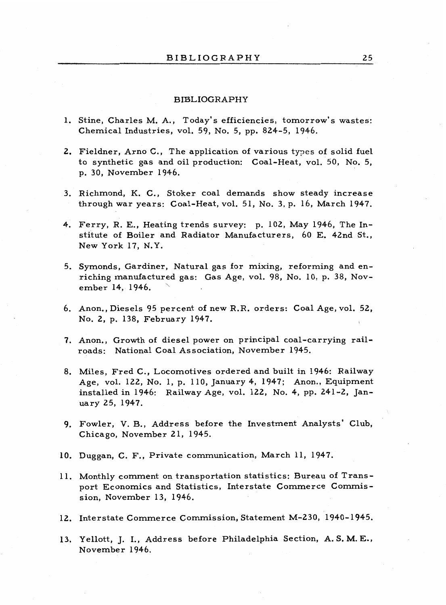### BIBLIOGRAPHY

- 1. Stine, Charles M. A., Today's efficiencies, tomorrew's wastes: Chemical Industries, vol. 59, No. 5, pp. 824-5, 1946.
- 2. Fieldner, Arno C., The application of various types of solid fuel to synthetic gas and oil production: Coal-Heat, vol. 50, No. 5, p. 30, November 1946.
- 3. Richmond, K. C., Stoker coal demands show steady increase through war years: Coal-Heat, vol. 51, No. 3, p. 16, March 1947.
- 4. Ferry, R. E., Heating trends survey: p. 102, May 1946, The Institute of Boiler and Radiator Manufacturers, 60 E. 42nd St., New York 17, N.Y.
- 5. Symonds, Gardiner, Natural gas for mixing, reforming and enriching manufactured gas: Gas Age, vol. 98, No. 10, p. 38, November 14, 1946. \
- 6. Anon., Diesels 95 percent of new R.R. orders: Coal Age, vol. 52, No. 2, p. 138, February 1947.
- 7. Anon., Growth of diesel power on principal coal-carrying railroads: National Coal As sociation, November 1945.
- **8.** Miles, Fred C., Locomotives ordered and built in 1946: Railway Age, vol. 122, No. 1, p. 110, January 4, 1947; Anon., Equipment installed in 1946: Railway Age, vol. 122, No. 4, pp. 241-2, January 25, 1947.
- 9. Fowler, V. B., Address before the Investment Analysts' Club, Chicago, November 21, 1945.
- 10. Duggan, 6. F., Private communication, March 11, 1947.
- 1 **1.** Monthly comment on transportation statistics: Bureau of Trans port Economics and Statistics, Interstate Commerce Commission, November 13, 1946.
- 12. Interstate Commerce Commission, Statement M-230, 1940- 1945.
- 13. Yellott, J. I., Address before Philadelphia Section, A. S. M. **E.,**  November 1946.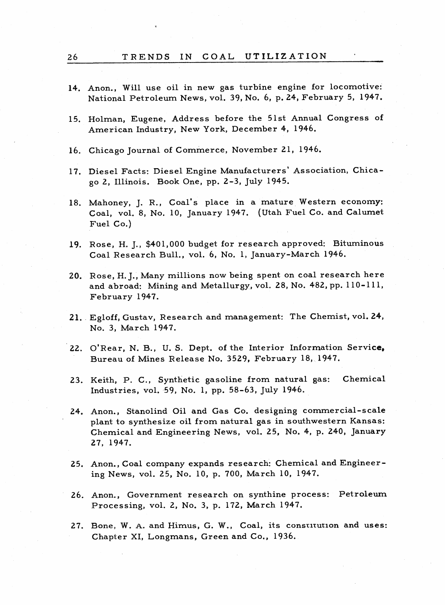- Anon., Will use oil in new gas turbine engine for locomotive: National Petroleum News, vol. 39, No. 6, p. 24, February 5, 1947.
- 15. Holman, Eugene, Address before the 51st Annual Congress of American Industry, New York, December 4, 1946.
- Chicago Journal of Commerce, November 21, 1946.
- Diesel Facts: Diesel Engine Manufacturers' Association, Ghicago 2, Illinois. Book One, pp. 2-3, July 1945.
- 18. Mahoney, J. R., Coal's place in a mature Western economy: Coal, vol. 8, No. 10, January 1947. (Utah Fuel Go. and Calumet Fuel Co.)
- Rose, **H.** J., \$401,000 budget for research approved: Bituminous Coal Research Bull., vol. *6,* No. 1, January-March 1946.
- 20. Rose, H. J., Many millions now being spent on coal research here and abroad: Mining and Metallurgy, vol. 28, No. 482, pp. 110-111, February 1947.
- 21. Egloff, Gustav, Research and management: The Chemist, vol. 24, No. 3, March 1947.
- 22. O'Rear, N. B., U. S. Dept. of the Interior Information Service, Bureau of Mines Release No. 3529, February 18, 1947.
- 23. Keith, P. C., Synthetic gasoline from natural gas: Chemical Industries, vol. 59, No. 1, pp. 58-63, July 1946.
- 24. Anon., Stanolind Oil and Gas Co. designing commercial-scale plant to synthesize oil from natural gas in southwestern Kansas: Chemical and Engineering News, vol. 25, No. 4, p. 240, January 27, 1947.
- Anon., Coal company expands research: Chemical and Engineer ing News, vol. 25, No. 10, p. 700, March 10, 1947.
- Anon., Government research on synthine process: Petroleum Processing, vol. 2, No. **3,** p. 172,
- 27. Bone, W. A. and Himus, G. W., Coal, its constitution and uses: Chapter XI, Longmans, Green and **Co.,** 1936.